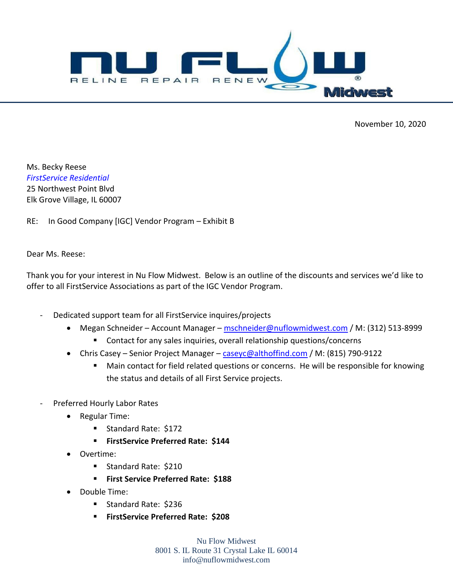

November 10, 2020

Ms. Becky Reese *FirstService Residential* 25 Northwest Point Blvd Elk Grove Village, IL 60007

RE: In Good Company [IGC] Vendor Program – Exhibit B

Dear Ms. Reese:

Thank you for your interest in Nu Flow Midwest. Below is an outline of the discounts and services we'd like to offer to all FirstService Associations as part of the IGC Vendor Program.

- Dedicated support team for all FirstService inquires/projects
	- Megan Schneider Account Manager mschneider@nuflowmidwest.com / M: (312) 513-8999 Contact for any sales inquiries, overall relationship questions/concerns
	- Chris Casey Senior Project Manager [caseyc@althoffind.com](mailto:caseyc@althoffind.com) / M: (815) 790-9122
		- Main contact for field related questions or concerns. He will be responsible for knowing the status and details of all First Service projects.
- Preferred Hourly Labor Rates
	- Regular Time:
		- Standard Rate: \$172
		- **FirstService Preferred Rate: \$144**
	- Overtime:
		- Standard Rate: \$210
		- **First Service Preferred Rate: \$188**
	- Double Time:
		- Standard Rate: \$236
		- **FirstService Preferred Rate: \$208**

Nu Flow Midwest 8001 S. IL Route 31 Crystal Lake IL 60014 info@nuflowmidwest.com